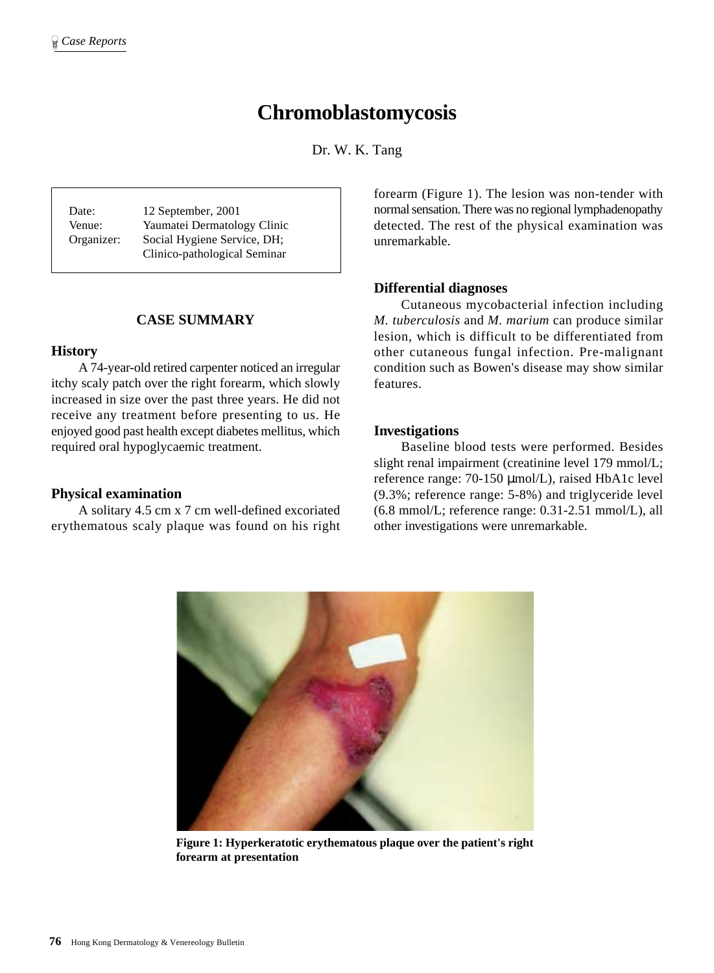# **Chromoblastomycosis**

Dr. W. K. Tang

Date: 12 September, 2001 Venue: Yaumatei Dermatology Clinic Organizer: Social Hygiene Service, DH; Clinico-pathological Seminar

# **CASE SUMMARY**

## **History**

A 74-year-old retired carpenter noticed an irregular itchy scaly patch over the right forearm, which slowly increased in size over the past three years. He did not receive any treatment before presenting to us. He enjoyed good past health except diabetes mellitus, which required oral hypoglycaemic treatment.

## **Physical examination**

A solitary 4.5 cm x 7 cm well-defined excoriated erythematous scaly plaque was found on his right forearm (Figure 1). The lesion was non-tender with normal sensation. There was no regional lymphadenopathy detected. The rest of the physical examination was unremarkable.

## **Differential diagnoses**

Cutaneous mycobacterial infection including *M. tuberculosis* and *M. marium* can produce similar lesion, which is difficult to be differentiated from other cutaneous fungal infection. Pre-malignant condition such as Bowen's disease may show similar features.

## **Investigations**

Baseline blood tests were performed. Besides slight renal impairment (creatinine level 179 mmol/L; reference range: 70-150 µmol/L), raised HbA1c level (9.3%; reference range: 5-8%) and triglyceride level (6.8 mmol/L; reference range: 0.31-2.51 mmol/L), all other investigations were unremarkable.



**Figure 1: Hyperkeratotic erythematous plaque over the patient's right forearm at presentation**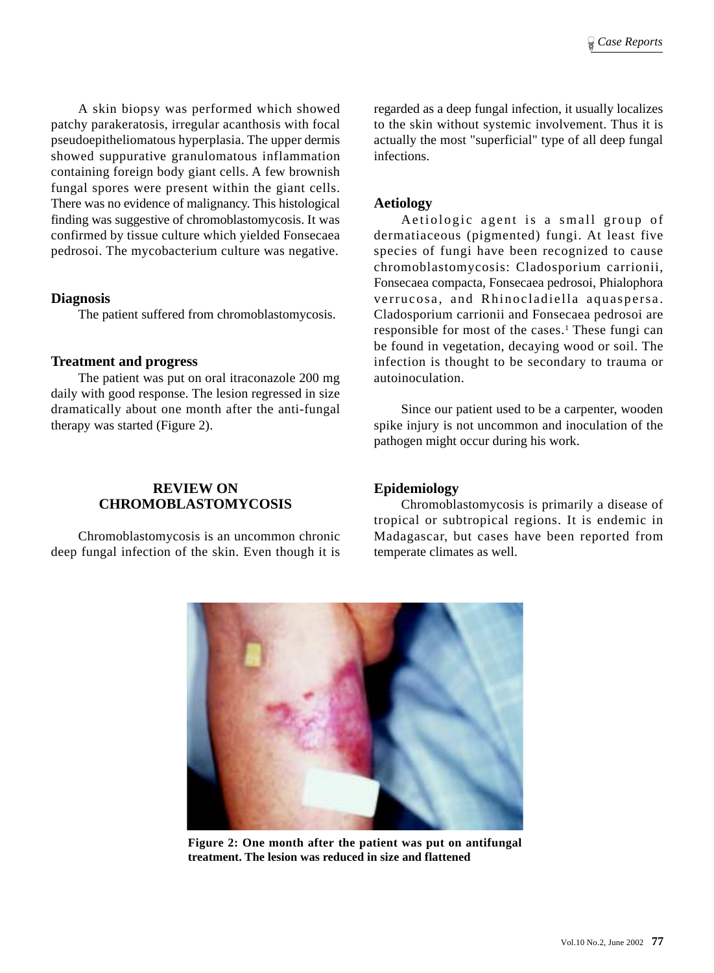A skin biopsy was performed which showed patchy parakeratosis, irregular acanthosis with focal pseudoepitheliomatous hyperplasia. The upper dermis showed suppurative granulomatous inflammation containing foreign body giant cells. A few brownish fungal spores were present within the giant cells. There was no evidence of malignancy. This histological finding was suggestive of chromoblastomycosis. It was confirmed by tissue culture which yielded Fonsecaea pedrosoi. The mycobacterium culture was negative.

## **Diagnosis**

The patient suffered from chromoblastomycosis.

# **Treatment and progress**

The patient was put on oral itraconazole 200 mg daily with good response. The lesion regressed in size dramatically about one month after the anti-fungal therapy was started (Figure 2).

# **REVIEW ON CHROMOBLASTOMYCOSIS**

Chromoblastomycosis is an uncommon chronic deep fungal infection of the skin. Even though it is regarded as a deep fungal infection, it usually localizes to the skin without systemic involvement. Thus it is actually the most "superficial" type of all deep fungal infections.

## **Aetiology**

Aetiologic agent is a small group of dermatiaceous (pigmented) fungi. At least five species of fungi have been recognized to cause chromoblastomycosis: Cladosporium carrionii, Fonsecaea compacta, Fonsecaea pedrosoi, Phialophora verrucosa, and Rhinocladiella aquaspersa. Cladosporium carrionii and Fonsecaea pedrosoi are responsible for most of the cases.<sup>1</sup> These fungi can be found in vegetation, decaying wood or soil. The infection is thought to be secondary to trauma or autoinoculation.

Since our patient used to be a carpenter, wooden spike injury is not uncommon and inoculation of the pathogen might occur during his work.

# **Epidemiology**

Chromoblastomycosis is primarily a disease of tropical or subtropical regions. It is endemic in Madagascar, but cases have been reported from temperate climates as well.



**Figure 2: One month after the patient was put on antifungal treatment. The lesion was reduced in size and flattened**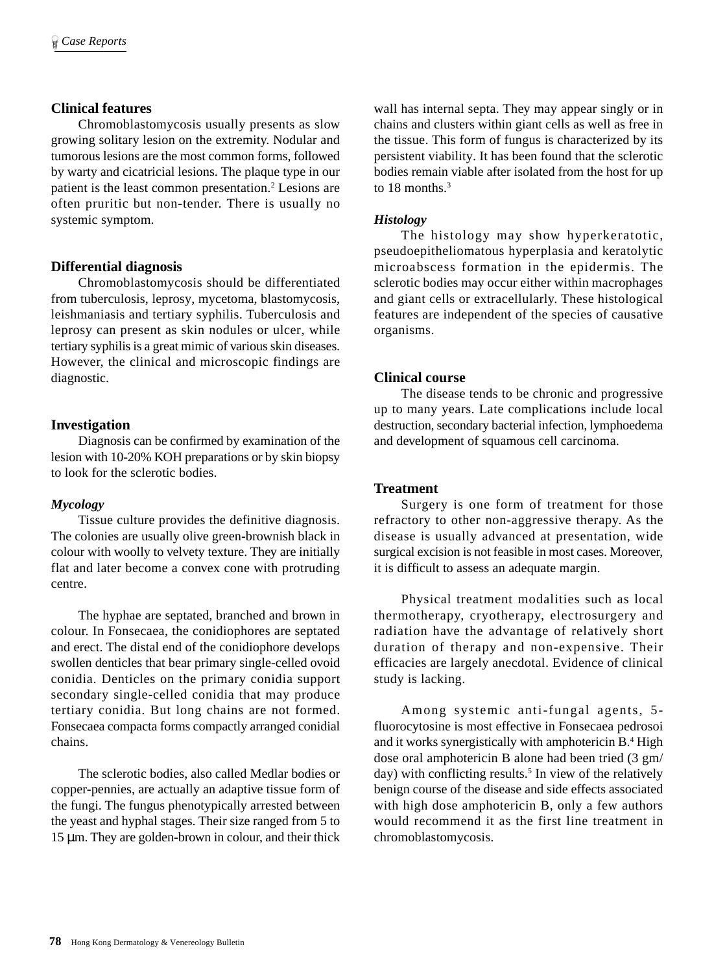# **Clinical features**

Chromoblastomycosis usually presents as slow growing solitary lesion on the extremity. Nodular and tumorous lesions are the most common forms, followed by warty and cicatricial lesions. The plaque type in our patient is the least common presentation.<sup>2</sup> Lesions are often pruritic but non-tender. There is usually no systemic symptom.

## **Differential diagnosis**

Chromoblastomycosis should be differentiated from tuberculosis, leprosy, mycetoma, blastomycosis, leishmaniasis and tertiary syphilis. Tuberculosis and leprosy can present as skin nodules or ulcer, while tertiary syphilis is a great mimic of various skin diseases. However, the clinical and microscopic findings are diagnostic.

## **Investigation**

Diagnosis can be confirmed by examination of the lesion with 10-20% KOH preparations or by skin biopsy to look for the sclerotic bodies.

#### *Mycology*

Tissue culture provides the definitive diagnosis. The colonies are usually olive green-brownish black in colour with woolly to velvety texture. They are initially flat and later become a convex cone with protruding centre.

The hyphae are septated, branched and brown in colour. In Fonsecaea, the conidiophores are septated and erect. The distal end of the conidiophore develops swollen denticles that bear primary single-celled ovoid conidia. Denticles on the primary conidia support secondary single-celled conidia that may produce tertiary conidia. But long chains are not formed. Fonsecaea compacta forms compactly arranged conidial chains.

The sclerotic bodies, also called Medlar bodies or copper-pennies, are actually an adaptive tissue form of the fungi. The fungus phenotypically arrested between the yeast and hyphal stages. Their size ranged from 5 to 15 µm. They are golden-brown in colour, and their thick

wall has internal septa. They may appear singly or in chains and clusters within giant cells as well as free in the tissue. This form of fungus is characterized by its persistent viability. It has been found that the sclerotic bodies remain viable after isolated from the host for up to 18 months.<sup>3</sup>

## *Histology*

The histology may show hyperkeratotic, pseudoepitheliomatous hyperplasia and keratolytic microabscess formation in the epidermis. The sclerotic bodies may occur either within macrophages and giant cells or extracellularly. These histological features are independent of the species of causative organisms.

## **Clinical course**

The disease tends to be chronic and progressive up to many years. Late complications include local destruction, secondary bacterial infection, lymphoedema and development of squamous cell carcinoma.

## **Treatment**

Surgery is one form of treatment for those refractory to other non-aggressive therapy. As the disease is usually advanced at presentation, wide surgical excision is not feasible in most cases. Moreover, it is difficult to assess an adequate margin.

Physical treatment modalities such as local thermotherapy, cryotherapy, electrosurgery and radiation have the advantage of relatively short duration of therapy and non-expensive. Their efficacies are largely anecdotal. Evidence of clinical study is lacking.

Among systemic anti-fungal agents, 5 fluorocytosine is most effective in Fonsecaea pedrosoi and it works synergistically with amphotericin B.<sup>4</sup> High dose oral amphotericin B alone had been tried (3 gm/ day) with conflicting results.<sup>5</sup> In view of the relatively benign course of the disease and side effects associated with high dose amphotericin B, only a few authors would recommend it as the first line treatment in chromoblastomycosis.